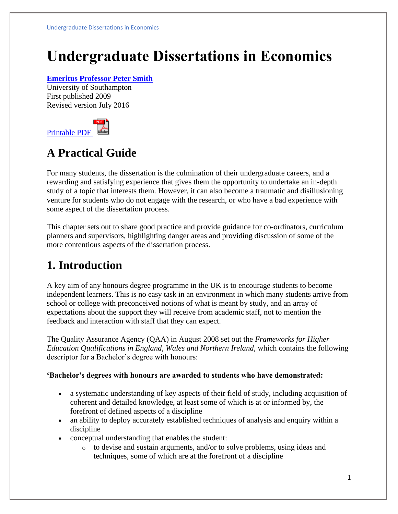# **Undergraduate Dissertations in Economics**

#### **[Emeritus Professor Peter Smith](https://www.economicsnetwork.ac.uk/profiles/123)**

University of Southampton First published 2009 Revised version July 2016



# **A Practical Guide**

For many students, the dissertation is the culmination of their undergraduate careers, and a rewarding and satisfying experience that gives them the opportunity to undertake an in-depth study of a topic that interests them. However, it can also become a traumatic and disillusioning venture for students who do not engage with the research, or who have a bad experience with some aspect of the dissertation process.

This chapter sets out to share good practice and provide guidance for co-ordinators, curriculum planners and supervisors, highlighting danger areas and providing discussion of some of the more contentious aspects of the dissertation process.

# **1. Introduction**

A key aim of any honours degree programme in the UK is to encourage students to become independent learners. This is no easy task in an environment in which many students arrive from school or college with preconceived notions of what is meant by study, and an array of expectations about the support they will receive from academic staff, not to mention the feedback and interaction with staff that they can expect.

The Quality Assurance Agency (QAA) in August 2008 set out the *Frameworks for Higher Education Qualifications in England, Wales and Northern Ireland*, which contains the following descriptor for a Bachelor's degree with honours:

#### **'Bachelor's degrees with honours are awarded to students who have demonstrated:**

- a systematic understanding of key aspects of their field of study, including acquisition of coherent and detailed knowledge, at least some of which is at or informed by, the forefront of defined aspects of a discipline
- an ability to deploy accurately established techniques of analysis and enquiry within a discipline
- conceptual understanding that enables the student:
	- o to devise and sustain arguments, and/or to solve problems, using ideas and techniques, some of which are at the forefront of a discipline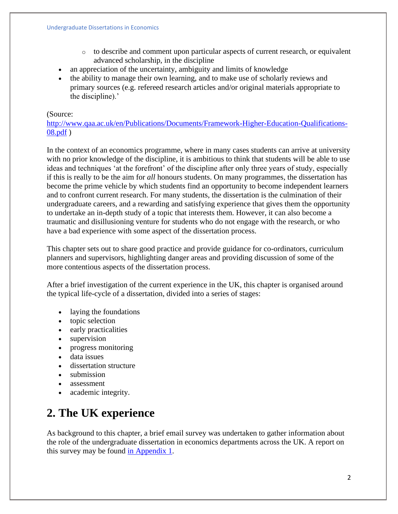- o to describe and comment upon particular aspects of current research, or equivalent advanced scholarship, in the discipline
- an appreciation of the uncertainty, ambiguity and limits of knowledge
- the ability to manage their own learning, and to make use of scholarly reviews and primary sources (e.g. refereed research articles and/or original materials appropriate to the discipline).'

#### (Source:

[http://www.qaa.ac.uk/en/Publications/Documents/Framework-Higher-Education-Qualifications-](https://www.webarchive.org.uk/wayback/en/archive/20170701210156/http:/www.qaa.ac.uk/en/Publications/Documents/Framework-Higher-Education-Qualifications-08.pdf)[08.pdf](https://www.webarchive.org.uk/wayback/en/archive/20170701210156/http:/www.qaa.ac.uk/en/Publications/Documents/Framework-Higher-Education-Qualifications-08.pdf) )

In the context of an economics programme, where in many cases students can arrive at university with no prior knowledge of the discipline, it is ambitious to think that students will be able to use ideas and techniques 'at the forefront' of the discipline after only three years of study, especially if this is really to be the aim for *all* honours students. On many programmes, the dissertation has become the prime vehicle by which students find an opportunity to become independent learners and to confront current research. For many students, the dissertation is the culmination of their undergraduate careers, and a rewarding and satisfying experience that gives them the opportunity to undertake an in-depth study of a topic that interests them. However, it can also become a traumatic and disillusioning venture for students who do not engage with the research, or who have a bad experience with some aspect of the dissertation process.

This chapter sets out to share good practice and provide guidance for co-ordinators, curriculum planners and supervisors, highlighting danger areas and providing discussion of some of the more contentious aspects of the dissertation process.

After a brief investigation of the current experience in the UK, this chapter is organised around the typical life-cycle of a dissertation, divided into a series of stages:

- laying the foundations
- topic selection
- early practicalities
- supervision
- progress monitoring
- data issues
- dissertation structure
- submission
- assessment
- academic integrity.

# **2. The UK experience**

As background to this chapter, a brief email survey was undertaken to gather information about the role of the undergraduate dissertation in economics departments across the UK. A report on this survey may be found [in Appendix 1.](https://www.economicsnetwork.ac.uk/handbook/dissertations/appendix)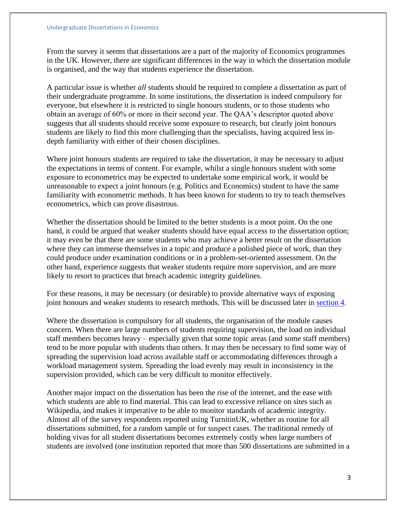From the survey it seems that dissertations are a part of the majority of Economics programmes in the UK. However, there are significant differences in the way in which the dissertation module is organised, and the way that students experience the dissertation.

A particular issue is whether *all* students should be required to complete a dissertation as part of their undergraduate programme. In some institutions, the dissertation is indeed compulsory for everyone, but elsewhere it is restricted to single honours students, or to those students who obtain an average of 60% or more in their second year. The QAA's descriptor quoted above suggests that all students should receive some exposure to research, but clearly joint honours students are likely to find this more challenging than the specialists, having acquired less indepth familiarity with either of their chosen disciplines.

Where joint honours students are required to take the dissertation, it may be necessary to adjust the expectations in terms of content. For example, whilst a single honours student with some exposure to econometrics may be expected to undertake some empirical work, it would be unreasonable to expect a joint honours (e.g. Politics and Economics) student to have the same familiarity with econometric methods. It has been known for students to try to teach themselves econometrics, which can prove disastrous.

Whether the dissertation should be limited to the better students is a moot point. On the one hand, it could be argued that weaker students should have equal access to the dissertation option; it may even be that there are some students who may achieve a better result on the dissertation where they can immerse themselves in a topic and produce a polished piece of work, than they could produce under examination conditions or in a problem-set-oriented assessment. On the other hand, experience suggests that weaker students require more supervision, and are more likely to resort to practices that breach academic integrity guidelines.

For these reasons, it may be necessary (or desirable) to provide alternative ways of exposing joint honours and weaker students to research methods. This will be discussed later in [section 4.](https://www.economicsnetwork.ac.uk/handbook/dissertations/alternatives)

Where the dissertation is compulsory for all students, the organisation of the module causes concern. When there are large numbers of students requiring supervision, the load on individual staff members becomes heavy – especially given that some topic areas (and some staff members) tend to be more popular with students than others. It may then be necessary to find some way of spreading the supervision load across available staff or accommodating differences through a workload management system. Spreading the load evenly may result in inconsistency in the supervision provided, which can be very difficult to monitor effectively.

Another major impact on the dissertation has been the rise of the internet, and the ease with which students are able to find material. This can lead to excessive reliance on sites such as Wikipedia, and makes it imperative to be able to monitor standards of academic integrity. Almost all of the survey respondents reported using TurnitinUK, whether as routine for all dissertations submitted, for a random sample or for suspect cases. The traditional remedy of holding vivas for all student dissertations becomes extremely costly when large numbers of students are involved (one institution reported that more than 500 dissertations are submitted in a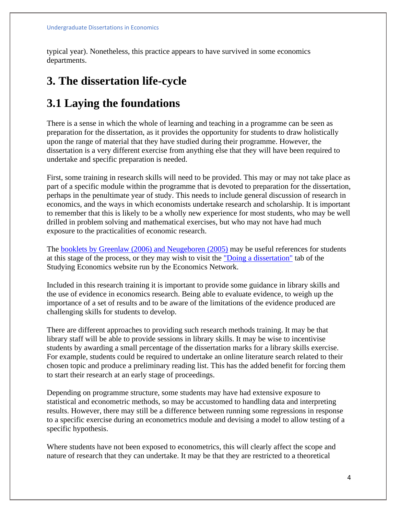typical year). Nonetheless, this practice appears to have survived in some economics departments.

### **3. The dissertation life-cycle**

### **3.1 Laying the foundations**

There is a sense in which the whole of learning and teaching in a programme can be seen as preparation for the dissertation, as it provides the opportunity for students to draw holistically upon the range of material that they have studied during their programme. However, the dissertation is a very different exercise from anything else that they will have been required to undertake and specific preparation is needed.

First, some training in research skills will need to be provided. This may or may not take place as part of a specific module within the programme that is devoted to preparation for the dissertation, perhaps in the penultimate year of study. This needs to include general discussion of research in economics, and the ways in which economists undertake research and scholarship. It is important to remember that this is likely to be a wholly new experience for most students, who may be well drilled in problem solving and mathematical exercises, but who may not have had much exposure to the practicalities of economic research.

The **booklets by Greenlaw (2006) and Neugeboren (2005)** may be useful references for students at this stage of the process, or they may wish to visit the ["Doing a dissertation"](http://www.studyingeconomics.ac.uk/dissertation/) tab of the Studying Economics website run by the Economics Network.

Included in this research training it is important to provide some guidance in library skills and the use of evidence in economics research. Being able to evaluate evidence, to weigh up the importance of a set of results and to be aware of the limitations of the evidence produced are challenging skills for students to develop.

There are different approaches to providing such research methods training. It may be that library staff will be able to provide sessions in library skills. It may be wise to incentivise students by awarding a small percentage of the dissertation marks for a library skills exercise. For example, students could be required to undertake an online literature search related to their chosen topic and produce a preliminary reading list. This has the added benefit for forcing them to start their research at an early stage of proceedings.

Depending on programme structure, some students may have had extensive exposure to statistical and econometric methods, so may be accustomed to handling data and interpreting results. However, there may still be a difference between running some regressions in response to a specific exercise during an econometrics module and devising a model to allow testing of a specific hypothesis.

Where students have not been exposed to econometrics, this will clearly affect the scope and nature of research that they can undertake. It may be that they are restricted to a theoretical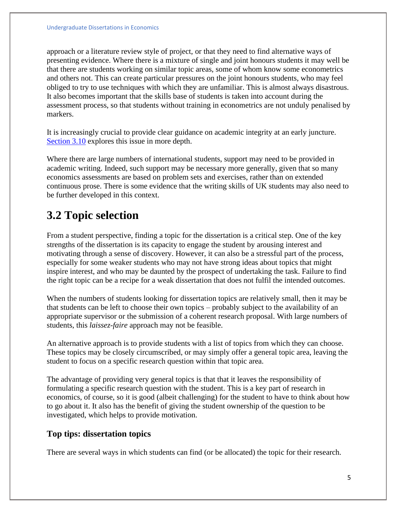approach or a literature review style of project, or that they need to find alternative ways of presenting evidence. Where there is a mixture of single and joint honours students it may well be that there are students working on similar topic areas, some of whom know some econometrics and others not. This can create particular pressures on the joint honours students, who may feel obliged to try to use techniques with which they are unfamiliar. This is almost always disastrous. It also becomes important that the skills base of students is taken into account during the assessment process, so that students without training in econometrics are not unduly penalised by markers.

It is increasingly crucial to provide clear guidance on academic integrity at an early juncture. [Section 3.10](https://www.economicsnetwork.ac.uk/handbook/dissertations/academic-integrity) explores this issue in more depth.

Where there are large numbers of international students, support may need to be provided in academic writing. Indeed, such support may be necessary more generally, given that so many economics assessments are based on problem sets and exercises, rather than on extended continuous prose. There is some evidence that the writing skills of UK students may also need to be further developed in this context.

# **3.2 Topic selection**

From a student perspective, finding a topic for the dissertation is a critical step. One of the key strengths of the dissertation is its capacity to engage the student by arousing interest and motivating through a sense of discovery. However, it can also be a stressful part of the process, especially for some weaker students who may not have strong ideas about topics that might inspire interest, and who may be daunted by the prospect of undertaking the task. Failure to find the right topic can be a recipe for a weak dissertation that does not fulfil the intended outcomes.

When the numbers of students looking for dissertation topics are relatively small, then it may be that students can be left to choose their own topics – probably subject to the availability of an appropriate supervisor or the submission of a coherent research proposal. With large numbers of students, this *laissez-faire* approach may not be feasible.

An alternative approach is to provide students with a list of topics from which they can choose. These topics may be closely circumscribed, or may simply offer a general topic area, leaving the student to focus on a specific research question within that topic area.

The advantage of providing very general topics is that that it leaves the responsibility of formulating a specific research question with the student. This is a key part of research in economics, of course, so it is good (albeit challenging) for the student to have to think about how to go about it. It also has the benefit of giving the student ownership of the question to be investigated, which helps to provide motivation.

### **Top tips: dissertation topics**

There are several ways in which students can find (or be allocated) the topic for their research.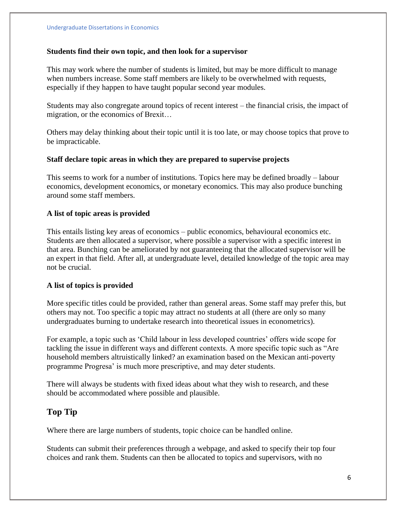#### **Students find their own topic, and then look for a supervisor**

This may work where the number of students is limited, but may be more difficult to manage when numbers increase. Some staff members are likely to be overwhelmed with requests, especially if they happen to have taught popular second year modules.

Students may also congregate around topics of recent interest – the financial crisis, the impact of migration, or the economics of Brexit…

Others may delay thinking about their topic until it is too late, or may choose topics that prove to be impracticable.

#### **Staff declare topic areas in which they are prepared to supervise projects**

This seems to work for a number of institutions. Topics here may be defined broadly – labour economics, development economics, or monetary economics. This may also produce bunching around some staff members.

#### **A list of topic areas is provided**

This entails listing key areas of economics – public economics, behavioural economics etc. Students are then allocated a supervisor, where possible a supervisor with a specific interest in that area. Bunching can be ameliorated by not guaranteeing that the allocated supervisor will be an expert in that field. After all, at undergraduate level, detailed knowledge of the topic area may not be crucial.

#### **A list of topics is provided**

More specific titles could be provided, rather than general areas. Some staff may prefer this, but others may not. Too specific a topic may attract no students at all (there are only so many undergraduates burning to undertake research into theoretical issues in econometrics).

For example, a topic such as 'Child labour in less developed countries' offers wide scope for tackling the issue in different ways and different contexts. A more specific topic such as "Are household members altruistically linked? an examination based on the Mexican anti-poverty programme Progresa' is much more prescriptive, and may deter students.

There will always be students with fixed ideas about what they wish to research, and these should be accommodated where possible and plausible.

#### **Top Tip**

Where there are large numbers of students, topic choice can be handled online.

Students can submit their preferences through a webpage, and asked to specify their top four choices and rank them. Students can then be allocated to topics and supervisors, with no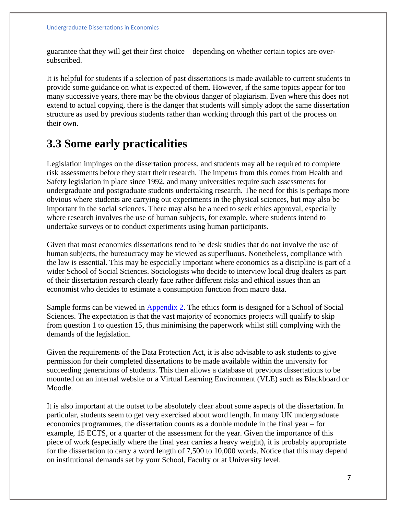guarantee that they will get their first choice – depending on whether certain topics are oversubscribed.

It is helpful for students if a selection of past dissertations is made available to current students to provide some guidance on what is expected of them. However, if the same topics appear for too many successive years, there may be the obvious danger of plagiarism. Even where this does not extend to actual copying, there is the danger that students will simply adopt the same dissertation structure as used by previous students rather than working through this part of the process on their own.

### **3.3 Some early practicalities**

Legislation impinges on the dissertation process, and students may all be required to complete risk assessments before they start their research. The impetus from this comes from Health and Safety legislation in place since 1992, and many universities require such assessments for undergraduate and postgraduate students undertaking research. The need for this is perhaps more obvious where students are carrying out experiments in the physical sciences, but may also be important in the social sciences. There may also be a need to seek ethics approval, especially where research involves the use of human subjects, for example, where students intend to undertake surveys or to conduct experiments using human participants.

Given that most economics dissertations tend to be desk studies that do not involve the use of human subjects, the bureaucracy may be viewed as superfluous. Nonetheless, compliance with the law is essential. This may be especially important where economics as a discipline is part of a wider School of Social Sciences. Sociologists who decide to interview local drug dealers as part of their dissertation research clearly face rather different risks and ethical issues than an economist who decides to estimate a consumption function from macro data.

Sample forms can be viewed in [Appendix 2.](https://www.economicsnetwork.ac.uk/handbook/dissertations/appendix) The ethics form is designed for a School of Social Sciences. The expectation is that the vast majority of economics projects will qualify to skip from question 1 to question 15, thus minimising the paperwork whilst still complying with the demands of the legislation.

Given the requirements of the Data Protection Act, it is also advisable to ask students to give permission for their completed dissertations to be made available within the university for succeeding generations of students. This then allows a database of previous dissertations to be mounted on an internal website or a Virtual Learning Environment (VLE) such as Blackboard or Moodle.

It is also important at the outset to be absolutely clear about some aspects of the dissertation. In particular, students seem to get very exercised about word length. In many UK undergraduate economics programmes, the dissertation counts as a double module in the final year – for example, 15 ECTS, or a quarter of the assessment for the year. Given the importance of this piece of work (especially where the final year carries a heavy weight), it is probably appropriate for the dissertation to carry a word length of 7,500 to 10,000 words. Notice that this may depend on institutional demands set by your School, Faculty or at University level.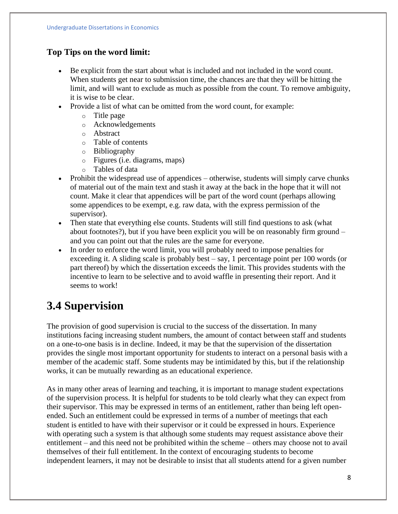### **Top Tips on the word limit:**

- Be explicit from the start about what is included and not included in the word count. When students get near to submission time, the chances are that they will be hitting the limit, and will want to exclude as much as possible from the count. To remove ambiguity, it is wise to be clear.
- Provide a list of what can be omitted from the word count, for example:
	- o Title page
	- o Acknowledgements
	- o Abstract
	- o Table of contents
	- o Bibliography
	- o Figures (i.e. diagrams, maps)
	- o Tables of data
- Prohibit the widespread use of appendices otherwise, students will simply carve chunks of material out of the main text and stash it away at the back in the hope that it will not count. Make it clear that appendices will be part of the word count (perhaps allowing some appendices to be exempt, e.g. raw data, with the express permission of the supervisor).
- Then state that everything else counts. Students will still find questions to ask (what about footnotes?), but if you have been explicit you will be on reasonably firm ground – and you can point out that the rules are the same for everyone.
- In order to enforce the word limit, you will probably need to impose penalties for exceeding it. A sliding scale is probably best – say, 1 percentage point per 100 words (or part thereof) by which the dissertation exceeds the limit. This provides students with the incentive to learn to be selective and to avoid waffle in presenting their report. And it seems to work!

# **3.4 Supervision**

The provision of good supervision is crucial to the success of the dissertation. In many institutions facing increasing student numbers, the amount of contact between staff and students on a one-to-one basis is in decline. Indeed, it may be that the supervision of the dissertation provides the single most important opportunity for students to interact on a personal basis with a member of the academic staff. Some students may be intimidated by this, but if the relationship works, it can be mutually rewarding as an educational experience.

As in many other areas of learning and teaching, it is important to manage student expectations of the supervision process. It is helpful for students to be told clearly what they can expect from their supervisor. This may be expressed in terms of an entitlement, rather than being left openended. Such an entitlement could be expressed in terms of a number of meetings that each student is entitled to have with their supervisor or it could be expressed in hours. Experience with operating such a system is that although some students may request assistance above their entitlement – and this need not be prohibited within the scheme – others may choose not to avail themselves of their full entitlement. In the context of encouraging students to become independent learners, it may not be desirable to insist that all students attend for a given number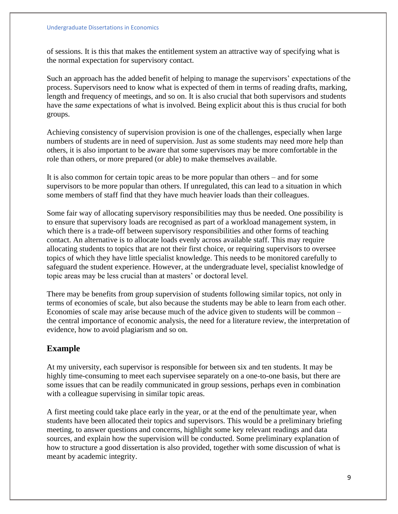of sessions. It is this that makes the entitlement system an attractive way of specifying what is the normal expectation for supervisory contact.

Such an approach has the added benefit of helping to manage the supervisors' expectations of the process. Supervisors need to know what is expected of them in terms of reading drafts, marking, length and frequency of meetings, and so on. It is also crucial that both supervisors and students have the *same* expectations of what is involved. Being explicit about this is thus crucial for both groups.

Achieving consistency of supervision provision is one of the challenges, especially when large numbers of students are in need of supervision. Just as some students may need more help than others, it is also important to be aware that some supervisors may be more comfortable in the role than others, or more prepared (or able) to make themselves available.

It is also common for certain topic areas to be more popular than others – and for some supervisors to be more popular than others. If unregulated, this can lead to a situation in which some members of staff find that they have much heavier loads than their colleagues.

Some fair way of allocating supervisory responsibilities may thus be needed. One possibility is to ensure that supervisory loads are recognised as part of a workload management system, in which there is a trade-off between supervisory responsibilities and other forms of teaching contact. An alternative is to allocate loads evenly across available staff. This may require allocating students to topics that are not their first choice, or requiring supervisors to oversee topics of which they have little specialist knowledge. This needs to be monitored carefully to safeguard the student experience. However, at the undergraduate level, specialist knowledge of topic areas may be less crucial than at masters' or doctoral level.

There may be benefits from group supervision of students following similar topics, not only in terms of economies of scale, but also because the students may be able to learn from each other. Economies of scale may arise because much of the advice given to students will be common – the central importance of economic analysis, the need for a literature review, the interpretation of evidence, how to avoid plagiarism and so on.

### **Example**

At my university, each supervisor is responsible for between six and ten students. It may be highly time-consuming to meet each supervisee separately on a one-to-one basis, but there are some issues that can be readily communicated in group sessions, perhaps even in combination with a colleague supervising in similar topic areas.

A first meeting could take place early in the year, or at the end of the penultimate year, when students have been allocated their topics and supervisors. This would be a preliminary briefing meeting, to answer questions and concerns, highlight some key relevant readings and data sources, and explain how the supervision will be conducted. Some preliminary explanation of how to structure a good dissertation is also provided, together with some discussion of what is meant by academic integrity.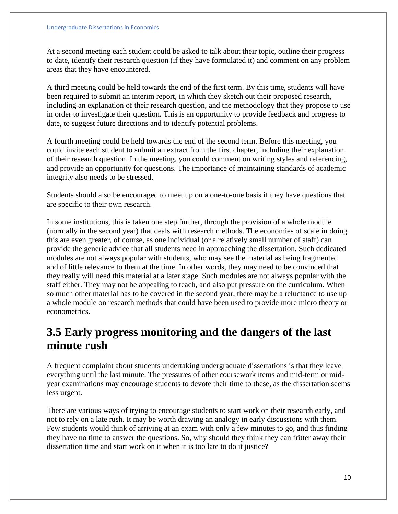At a second meeting each student could be asked to talk about their topic, outline their progress to date, identify their research question (if they have formulated it) and comment on any problem areas that they have encountered.

A third meeting could be held towards the end of the first term. By this time, students will have been required to submit an interim report, in which they sketch out their proposed research, including an explanation of their research question, and the methodology that they propose to use in order to investigate their question. This is an opportunity to provide feedback and progress to date, to suggest future directions and to identify potential problems.

A fourth meeting could be held towards the end of the second term. Before this meeting, you could invite each student to submit an extract from the first chapter, including their explanation of their research question. In the meeting, you could comment on writing styles and referencing, and provide an opportunity for questions. The importance of maintaining standards of academic integrity also needs to be stressed.

Students should also be encouraged to meet up on a one-to-one basis if they have questions that are specific to their own research.

In some institutions, this is taken one step further, through the provision of a whole module (normally in the second year) that deals with research methods. The economies of scale in doing this are even greater, of course, as one individual (or a relatively small number of staff) can provide the generic advice that all students need in approaching the dissertation. Such dedicated modules are not always popular with students, who may see the material as being fragmented and of little relevance to them at the time. In other words, they may need to be convinced that they really will need this material at a later stage. Such modules are not always popular with the staff either. They may not be appealing to teach, and also put pressure on the curriculum. When so much other material has to be covered in the second year, there may be a reluctance to use up a whole module on research methods that could have been used to provide more micro theory or econometrics.

### **3.5 Early progress monitoring and the dangers of the last minute rush**

A frequent complaint about students undertaking undergraduate dissertations is that they leave everything until the last minute. The pressures of other coursework items and mid-term or midyear examinations may encourage students to devote their time to these, as the dissertation seems less urgent.

There are various ways of trying to encourage students to start work on their research early, and not to rely on a late rush. It may be worth drawing an analogy in early discussions with them. Few students would think of arriving at an exam with only a few minutes to go, and thus finding they have no time to answer the questions. So, why should they think they can fritter away their dissertation time and start work on it when it is too late to do it justice?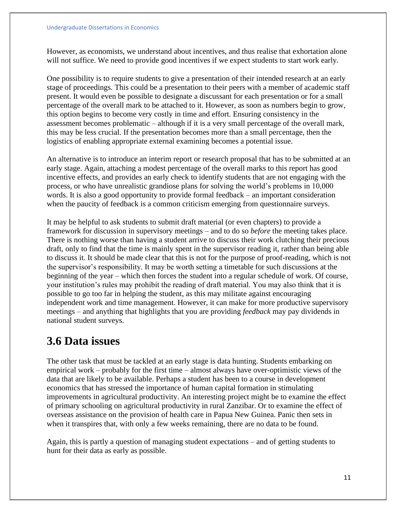However, as economists, we understand about incentives, and thus realise that exhortation alone will not suffice. We need to provide good incentives if we expect students to start work early.

One possibility is to require students to give a presentation of their intended research at an early stage of proceedings. This could be a presentation to their peers with a member of academic staff present. It would even be possible to designate a discussant for each presentation or for a small percentage of the overall mark to be attached to it. However, as soon as numbers begin to grow, this option begins to become very costly in time and effort. Ensuring consistency in the assessment becomes problematic – although if it is a very small percentage of the overall mark, this may be less crucial. If the presentation becomes more than a small percentage, then the logistics of enabling appropriate external examining becomes a potential issue.

An alternative is to introduce an interim report or research proposal that has to be submitted at an early stage. Again, attaching a modest percentage of the overall marks to this report has good incentive effects, and provides an early check to identify students that are not engaging with the process, or who have unrealistic grandiose plans for solving the world's problems in 10,000 words. It is also a good opportunity to provide formal feedback – an important consideration when the paucity of feedback is a common criticism emerging from questionnaire surveys.

It may be helpful to ask students to submit draft material (or even chapters) to provide a framework for discussion in supervisory meetings – and to do so *before* the meeting takes place. There is nothing worse than having a student arrive to discuss their work clutching their precious draft, only to find that the time is mainly spent in the supervisor reading it, rather than being able to discuss it. It should be made clear that this is not for the purpose of proof-reading, which is not the supervisor's responsibility. It may be worth setting a timetable for such discussions at the beginning of the year – which then forces the student into a regular schedule of work. Of course, your institution's rules may prohibit the reading of draft material. You may also think that it is possible to go too far in helping the student, as this may militate against encouraging independent work and time management. However, it can make for more productive supervisory meetings – and anything that highlights that you are providing *feedback* may pay dividends in national student surveys.

### **3.6 Data issues**

The other task that must be tackled at an early stage is data hunting. Students embarking on empirical work – probably for the first time – almost always have over-optimistic views of the data that are likely to be available. Perhaps a student has been to a course in development economics that has stressed the importance of human capital formation in stimulating improvements in agricultural productivity. An interesting project might be to examine the effect of primary schooling on agricultural productivity in rural Zanzibar. Or to examine the effect of overseas assistance on the provision of health care in Papua New Guinea. Panic then sets in when it transpires that, with only a few weeks remaining, there are no data to be found.

Again, this is partly a question of managing student expectations – and of getting students to hunt for their data as early as possible.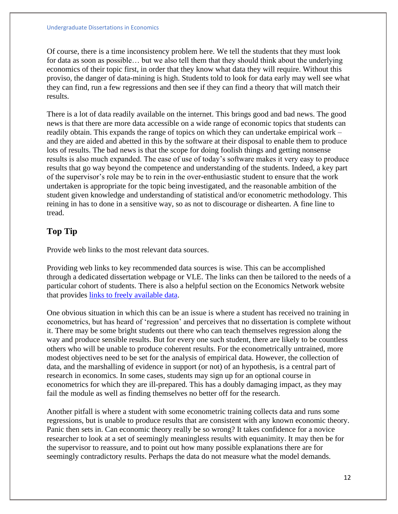Of course, there is a time inconsistency problem here. We tell the students that they must look for data as soon as possible… but we also tell them that they should think about the underlying economics of their topic first, in order that they know what data they will require. Without this proviso, the danger of data-mining is high. Students told to look for data early may well see what they can find, run a few regressions and then see if they can find a theory that will match their results.

There is a lot of data readily available on the internet. This brings good and bad news. The good news is that there are more data accessible on a wide range of economic topics that students can readily obtain. This expands the range of topics on which they can undertake empirical work – and they are aided and abetted in this by the software at their disposal to enable them to produce lots of results. The bad news is that the scope for doing foolish things and getting nonsense results is also much expanded. The ease of use of today's software makes it very easy to produce results that go way beyond the competence and understanding of the students. Indeed, a key part of the supervisor's role may be to rein in the over-enthusiastic student to ensure that the work undertaken is appropriate for the topic being investigated, and the reasonable ambition of the student given knowledge and understanding of statistical and/or econometric methodology. This reining in has to done in a sensitive way, so as not to discourage or dishearten. A fine line to tread.

### **Top Tip**

Provide web links to the most relevant data sources.

Providing web links to key recommended data sources is wise. This can be accomplished through a dedicated dissertation webpage or VLE. The links can then be tailored to the needs of a particular cohort of students. There is also a helpful section on the Economics Network website that provides [links to freely available data.](https://www.economicsnetwork.ac.uk/links/data_free)

One obvious situation in which this can be an issue is where a student has received no training in econometrics, but has heard of 'regression' and perceives that no dissertation is complete without it. There may be some bright students out there who can teach themselves regression along the way and produce sensible results. But for every one such student, there are likely to be countless others who will be unable to produce coherent results. For the econometrically untrained, more modest objectives need to be set for the analysis of empirical data. However, the collection of data, and the marshalling of evidence in support (or not) of an hypothesis, is a central part of research in economics. In some cases, students may sign up for an optional course in econometrics for which they are ill-prepared. This has a doubly damaging impact, as they may fail the module as well as finding themselves no better off for the research.

Another pitfall is where a student with some econometric training collects data and runs some regressions, but is unable to produce results that are consistent with any known economic theory. Panic then sets in. Can economic theory really be so wrong? It takes confidence for a novice researcher to look at a set of seemingly meaningless results with equanimity. It may then be for the supervisor to reassure, and to point out how many possible explanations there are for seemingly contradictory results. Perhaps the data do not measure what the model demands.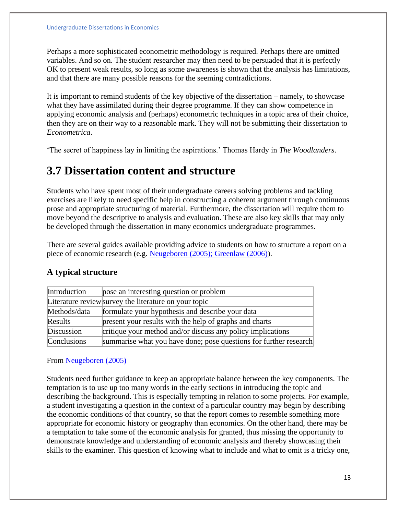Perhaps a more sophisticated econometric methodology is required. Perhaps there are omitted variables. And so on. The student researcher may then need to be persuaded that it is perfectly OK to present weak results, so long as some awareness is shown that the analysis has limitations, and that there are many possible reasons for the seeming contradictions.

It is important to remind students of the key objective of the dissertation – namely, to showcase what they have assimilated during their degree programme. If they can show competence in applying economic analysis and (perhaps) econometric techniques in a topic area of their choice, then they are on their way to a reasonable mark. They will not be submitting their dissertation to *Econometrica*.

'The secret of happiness lay in limiting the aspirations.' Thomas Hardy in *The Woodlanders*.

### **3.7 Dissertation content and structure**

Students who have spent most of their undergraduate careers solving problems and tackling exercises are likely to need specific help in constructing a coherent argument through continuous prose and appropriate structuring of material. Furthermore, the dissertation will require them to move beyond the descriptive to analysis and evaluation. These are also key skills that may only be developed through the dissertation in many economics undergraduate programmes.

There are several guides available providing advice to students on how to structure a report on a piece of economic research (e.g. [Neugeboren \(2005\); Greenlaw \(2006\)\)](https://www.economicsnetwork.ac.uk/handbook/dissertations/references).

| Introduction | pose an interesting question or problem                           |
|--------------|-------------------------------------------------------------------|
|              | Literature review survey the literature on your topic             |
| Methods/data | formulate your hypothesis and describe your data                  |
| Results      | present your results with the help of graphs and charts           |
| Discussion   | critique your method and/or discuss any policy implications       |
| Conclusions  | summarise what you have done; pose questions for further research |

#### **A typical structure**

From [Neugeboren \(2005\)](https://www.economicsnetwork.ac.uk/handbook/dissertations/references)

Students need further guidance to keep an appropriate balance between the key components. The temptation is to use up too many words in the early sections in introducing the topic and describing the background. This is especially tempting in relation to some projects. For example, a student investigating a question in the context of a particular country may begin by describing the economic conditions of that country, so that the report comes to resemble something more appropriate for economic history or geography than economics. On the other hand, there may be a temptation to take some of the economic analysis for granted, thus missing the opportunity to demonstrate knowledge and understanding of economic analysis and thereby showcasing their skills to the examiner. This question of knowing what to include and what to omit is a tricky one,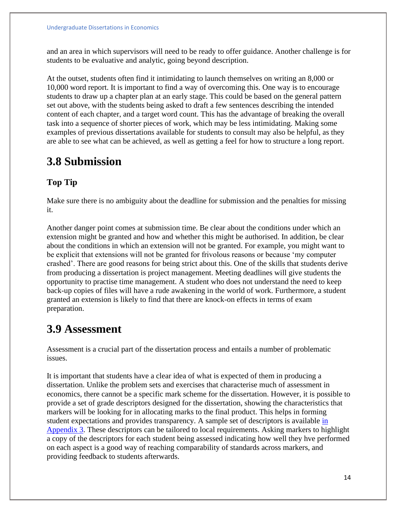and an area in which supervisors will need to be ready to offer guidance. Another challenge is for students to be evaluative and analytic, going beyond description.

At the outset, students often find it intimidating to launch themselves on writing an 8,000 or 10,000 word report. It is important to find a way of overcoming this. One way is to encourage students to draw up a chapter plan at an early stage. This could be based on the general pattern set out above, with the students being asked to draft a few sentences describing the intended content of each chapter, and a target word count. This has the advantage of breaking the overall task into a sequence of shorter pieces of work, which may be less intimidating. Making some examples of previous dissertations available for students to consult may also be helpful, as they are able to see what can be achieved, as well as getting a feel for how to structure a long report.

### **3.8 Submission**

### **Top Tip**

Make sure there is no ambiguity about the deadline for submission and the penalties for missing it.

Another danger point comes at submission time. Be clear about the conditions under which an extension might be granted and how and whether this might be authorised. In addition, be clear about the conditions in which an extension will not be granted. For example, you might want to be explicit that extensions will not be granted for frivolous reasons or because 'my computer crashed'. There are good reasons for being strict about this. One of the skills that students derive from producing a dissertation is project management. Meeting deadlines will give students the opportunity to practise time management. A student who does not understand the need to keep back-up copies of files will have a rude awakening in the world of work. Furthermore, a student granted an extension is likely to find that there are knock-on effects in terms of exam preparation.

### **3.9 Assessment**

Assessment is a crucial part of the dissertation process and entails a number of problematic issues.

It is important that students have a clear idea of what is expected of them in producing a dissertation. Unlike the problem sets and exercises that characterise much of assessment in economics, there cannot be a specific mark scheme for the dissertation. However, it is possible to provide a set of grade descriptors designed for the dissertation, showing the characteristics that markers will be looking for in allocating marks to the final product. This helps in forming student expectations and provides transparency. A sample set of descriptors is available [in](https://www.economicsnetwork.ac.uk/handbook/dissertations/appendix)  [Appendix 3.](https://www.economicsnetwork.ac.uk/handbook/dissertations/appendix) These descriptors can be tailored to local requirements. Asking markers to highlight a copy of the descriptors for each student being assessed indicating how well they hve performed on each aspect is a good way of reaching comparability of standards across markers, and providing feedback to students afterwards.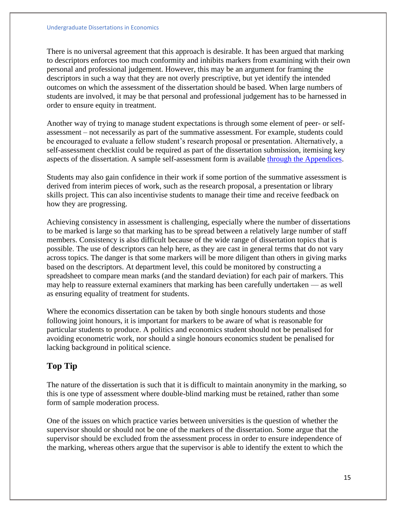There is no universal agreement that this approach is desirable. It has been argued that marking to descriptors enforces too much conformity and inhibits markers from examining with their own personal and professional judgement. However, this may be an argument for framing the descriptors in such a way that they are not overly prescriptive, but yet identify the intended outcomes on which the assessment of the dissertation should be based. When large numbers of students are involved, it may be that personal and professional judgement has to be harnessed in order to ensure equity in treatment.

Another way of trying to manage student expectations is through some element of peer- or selfassessment – not necessarily as part of the summative assessment. For example, students could be encouraged to evaluate a fellow student's research proposal or presentation. Alternatively, a self-assessment checklist could be required as part of the dissertation submission, itemising key aspects of the dissertation. A sample self-assessment form is available [through the Appendices.](https://www.economicsnetwork.ac.uk/handbook/dissertations/appendix)

Students may also gain confidence in their work if some portion of the summative assessment is derived from interim pieces of work, such as the research proposal, a presentation or library skills project. This can also incentivise students to manage their time and receive feedback on how they are progressing.

Achieving consistency in assessment is challenging, especially where the number of dissertations to be marked is large so that marking has to be spread between a relatively large number of staff members. Consistency is also difficult because of the wide range of dissertation topics that is possible. The use of descriptors can help here, as they are cast in general terms that do not vary across topics. The danger is that some markers will be more diligent than others in giving marks based on the descriptors. At department level, this could be monitored by constructing a spreadsheet to compare mean marks (and the standard deviation) for each pair of markers. This may help to reassure external examiners that marking has been carefully undertaken — as well as ensuring equality of treatment for students.

Where the economics dissertation can be taken by both single honours students and those following joint honours, it is important for markers to be aware of what is reasonable for particular students to produce. A politics and economics student should not be penalised for avoiding econometric work, nor should a single honours economics student be penalised for lacking background in political science.

### **Top Tip**

The nature of the dissertation is such that it is difficult to maintain anonymity in the marking, so this is one type of assessment where double-blind marking must be retained, rather than some form of sample moderation process.

One of the issues on which practice varies between universities is the question of whether the supervisor should or should not be one of the markers of the dissertation. Some argue that the supervisor should be excluded from the assessment process in order to ensure independence of the marking, whereas others argue that the supervisor is able to identify the extent to which the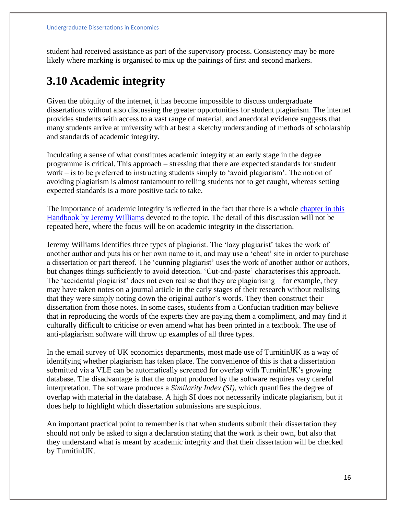student had received assistance as part of the supervisory process. Consistency may be more likely where marking is organised to mix up the pairings of first and second markers.

### **3.10 Academic integrity**

Given the ubiquity of the internet, it has become impossible to discuss undergraduate dissertations without also discussing the greater opportunities for student plagiarism. The internet provides students with access to a vast range of material, and anecdotal evidence suggests that many students arrive at university with at best a sketchy understanding of methods of scholarship and standards of academic integrity.

Inculcating a sense of what constitutes academic integrity at an early stage in the degree programme is critical. This approach – stressing that there are expected standards for student work – is to be preferred to instructing students simply to 'avoid plagiarism'. The notion of avoiding plagiarism is almost tantamount to telling students not to get caught, whereas setting expected standards is a more positive tack to take.

The importance of academic integrity is reflected in the fact that there is a whole [chapter in this](https://www.economicsnetwork.ac.uk/handbook/plagiarism)  [Handbook by Jeremy Williams](https://www.economicsnetwork.ac.uk/handbook/plagiarism) devoted to the topic. The detail of this discussion will not be repeated here, where the focus will be on academic integrity in the dissertation.

Jeremy Williams identifies three types of plagiarist. The 'lazy plagiarist' takes the work of another author and puts his or her own name to it, and may use a 'cheat' site in order to purchase a dissertation or part thereof. The 'cunning plagiarist' uses the work of another author or authors, but changes things sufficiently to avoid detection. 'Cut-and-paste' characterises this approach. The 'accidental plagiarist' does not even realise that they are plagiarising – for example, they may have taken notes on a journal article in the early stages of their research without realising that they were simply noting down the original author's words. They then construct their dissertation from those notes. In some cases, students from a Confucian tradition may believe that in reproducing the words of the experts they are paying them a compliment, and may find it culturally difficult to criticise or even amend what has been printed in a textbook. The use of anti-plagiarism software will throw up examples of all three types.

In the email survey of UK economics departments, most made use of TurnitinUK as a way of identifying whether plagiarism has taken place. The convenience of this is that a dissertation submitted via a VLE can be automatically screened for overlap with TurnitinUK's growing database. The disadvantage is that the output produced by the software requires very careful interpretation. The software produces a *Similarity Index (SI),* which quantifies the degree of overlap with material in the database. A high SI does not necessarily indicate plagiarism, but it does help to highlight which dissertation submissions are suspicious.

An important practical point to remember is that when students submit their dissertation they should not only be asked to sign a declaration stating that the work is their own, but also that they understand what is meant by academic integrity and that their dissertation will be checked by TurnitinUK.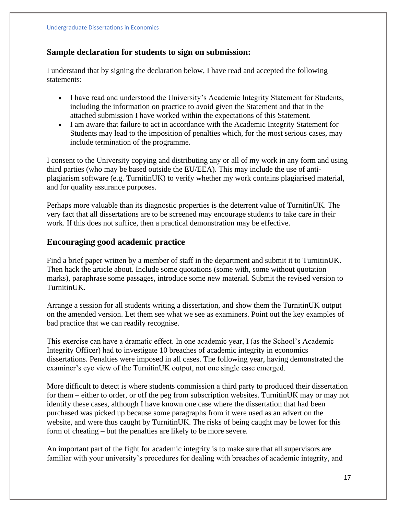#### **Sample declaration for students to sign on submission:**

I understand that by signing the declaration below, I have read and accepted the following statements:

- I have read and understood the University's Academic Integrity Statement for Students, including the information on practice to avoid given the Statement and that in the attached submission I have worked within the expectations of this Statement.
- I am aware that failure to act in accordance with the Academic Integrity Statement for Students may lead to the imposition of penalties which, for the most serious cases, may include termination of the programme.

I consent to the University copying and distributing any or all of my work in any form and using third parties (who may be based outside the EU/EEA). This may include the use of antiplagiarism software (e.g. TurnitinUK) to verify whether my work contains plagiarised material, and for quality assurance purposes.

Perhaps more valuable than its diagnostic properties is the deterrent value of TurnitinUK. The very fact that all dissertations are to be screened may encourage students to take care in their work. If this does not suffice, then a practical demonstration may be effective.

#### **Encouraging good academic practice**

Find a brief paper written by a member of staff in the department and submit it to TurnitinUK. Then hack the article about. Include some quotations (some with, some without quotation marks), paraphrase some passages, introduce some new material. Submit the revised version to TurnitinUK.

Arrange a session for all students writing a dissertation, and show them the TurnitinUK output on the amended version. Let them see what we see as examiners. Point out the key examples of bad practice that we can readily recognise.

This exercise can have a dramatic effect. In one academic year, I (as the School's Academic Integrity Officer) had to investigate 10 breaches of academic integrity in economics dissertations. Penalties were imposed in all cases. The following year, having demonstrated the examiner's eye view of the TurnitinUK output, not one single case emerged.

More difficult to detect is where students commission a third party to produced their dissertation for them – either to order, or off the peg from subscription websites. TurnitinUK may or may not identify these cases, although I have known one case where the dissertation that had been purchased was picked up because some paragraphs from it were used as an advert on the website, and were thus caught by TurnitinUK. The risks of being caught may be lower for this form of cheating – but the penalties are likely to be more severe.

An important part of the fight for academic integrity is to make sure that all supervisors are familiar with your university's procedures for dealing with breaches of academic integrity, and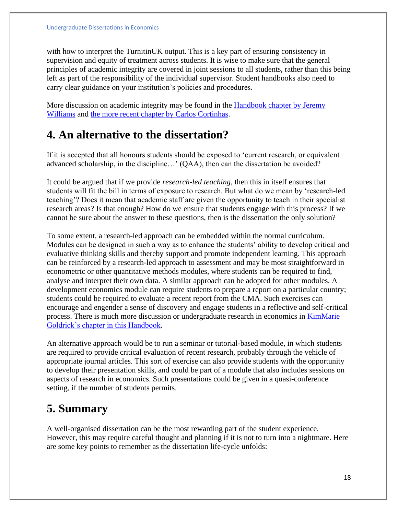with how to interpret the TurnitinUK output. This is a key part of ensuring consistency in supervision and equity of treatment across students. It is wise to make sure that the general principles of academic integrity are covered in joint sessions to all students, rather than this being left as part of the responsibility of the individual supervisor. Student handbooks also need to carry clear guidance on your institution's policies and procedures.

More discussion on academic integrity may be found in the [Handbook chapter by Jeremy](https://www.economicsnetwork.ac.uk/handbook/plagiarism)  [Williams](https://www.economicsnetwork.ac.uk/handbook/plagiarism) and [the more recent chapter by Carlos Cortinhas.](https://www.economicsnetwork.ac.uk/handbook/plagiarism_he)

### **4. An alternative to the dissertation?**

If it is accepted that all honours students should be exposed to 'current research, or equivalent advanced scholarship, in the discipline…' (QAA), then can the dissertation be avoided?

It could be argued that if we provide *research-led teaching*, then this in itself ensures that students will fit the bill in terms of exposure to research. But what do we mean by 'research-led teaching'? Does it mean that academic staff are given the opportunity to teach in their specialist research areas? Is that enough? How do we ensure that students engage with this process? If we cannot be sure about the answer to these questions, then is the dissertation the only solution?

To some extent, a research-led approach can be embedded within the normal curriculum. Modules can be designed in such a way as to enhance the students' ability to develop critical and evaluative thinking skills and thereby support and promote independent learning. This approach can be reinforced by a research-led approach to assessment and may be most straightforward in econometric or other quantitative methods modules, where students can be required to find, analyse and interpret their own data. A similar approach can be adopted for other modules. A development economics module can require students to prepare a report on a particular country; students could be required to evaluate a recent report from the CMA. Such exercises can encourage and engender a sense of discovery and engage students in a reflective and self-critical process. There is much more discussion or undergraduate research in economics in [KimMarie](https://www.economicsnetwork.ac.uk/handbook/ugresearch)  [Goldrick's chapter in this Handbook.](https://www.economicsnetwork.ac.uk/handbook/ugresearch)

An alternative approach would be to run a seminar or tutorial-based module, in which students are required to provide critical evaluation of recent research, probably through the vehicle of appropriate journal articles. This sort of exercise can also provide students with the opportunity to develop their presentation skills, and could be part of a module that also includes sessions on aspects of research in economics. Such presentations could be given in a quasi-conference setting, if the number of students permits.

# **5. Summary**

A well-organised dissertation can be the most rewarding part of the student experience. However, this may require careful thought and planning if it is not to turn into a nightmare. Here are some key points to remember as the dissertation life-cycle unfolds: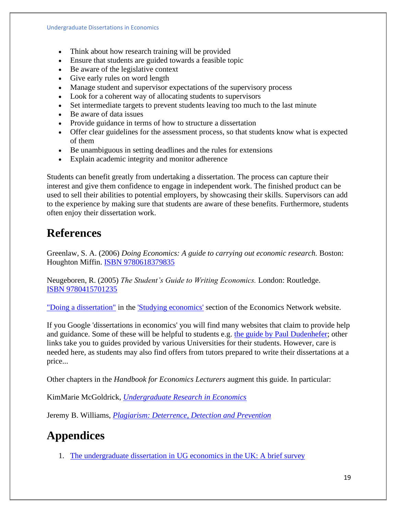- Think about how research training will be provided
- Ensure that students are guided towards a feasible topic
- Be aware of the legislative context
- Give early rules on word length
- Manage student and supervisor expectations of the supervisory process
- Look for a coherent way of allocating students to supervisors
- Set intermediate targets to prevent students leaving too much to the last minute
- Be aware of data issues
- Provide guidance in terms of how to structure a dissertation
- Offer clear guidelines for the assessment process, so that students know what is expected of them
- Be unambiguous in setting deadlines and the rules for extensions
- Explain academic integrity and monitor adherence

Students can benefit greatly from undertaking a dissertation. The process can capture their interest and give them confidence to engage in independent work. The finished product can be used to sell their abilities to potential employers, by showcasing their skills. Supervisors can add to the experience by making sure that students are aware of these benefits. Furthermore, students often enjoy their dissertation work.

### **References**

Greenlaw, S. A. (2006) *Doing Economics: A guide to carrying out economic research.* Boston: Houghton Miffin. ISBN [9780618379835](http://www.worldcat.org/title/doing-economics-a-guide-to-understanding-and-carrying-out-economic-research/oclc/61455240)

Neugeboren, R. (2005) *The Student's Guide to Writing Economics.* London: Routledge. ISBN [9780415701235](http://www.worldcat.org/title/students-guide-to-writing-economics/oclc/57354148)

["Doing a dissertation"](http://studyingeconomics.ac.uk/dissertation/) in the ['Studying economics'](http://www.studyingeconomics.ac.uk/) section of the Economics Network website.

If you Google 'dissertations in economics' you will find many websites that claim to provide help and guidance. Some of these will be helpful to students e.g. [the guide by Paul Dudenhefer;](http://writing.ku.edu/sites/writing.drupal.ku.edu/files/docs/Guide_Writing_Economics.pdf) other links take you to guides provided by various Universities for their students. However, care is needed here, as students may also find offers from tutors prepared to write their dissertations at a price...

Other chapters in the *Handbook for Economics Lecturers* augment this guide. In particular:

KimMarie McGoldrick, *[Undergraduate Research in Economics](https://www.economicsnetwork.ac.uk/handbook/ugresearch)*

Jeremy B. Williams, *[Plagiarism: Deterrence, Detection and Prevention](https://www.economicsnetwork.ac.uk/handbook/plagiarism)*

# **Appendices**

1. [The undergraduate dissertation in UG economics in the UK: A brief survey](https://www.economicsnetwork.ac.uk/handbook/dissertations/ed1_dissertation_qr_report.rtf)